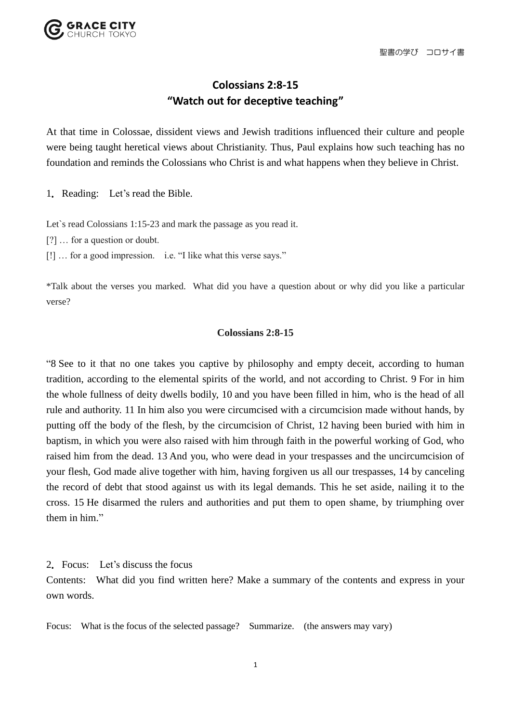

## **Colossians 2:8-15 "Watch out for deceptive teaching"**

At that time in Colossae, dissident views and Jewish traditions influenced their culture and people were being taught heretical views about Christianity. Thus, Paul explains how such teaching has no foundation and reminds the Colossians who Christ is and what happens when they believe in Christ.

1.Reading: Let's read the Bible.

Let's read Colossians 1:15-23 and mark the passage as you read it.

- [?] … for a question or doubt.
- [!] … for a good impression. i.e. "I like what this verse says."

\*Talk about the verses you marked. What did you have a question about or why did you like a particular verse?

## **Colossians 2:8-15**

"8 See to it that no one takes you captive by philosophy and empty deceit, according to human tradition, according to the elemental spirits of the world, and not according to Christ. 9 For in him the whole fullness of deity dwells bodily, 10 and you have been filled in him, who is the head of all rule and authority. 11 In him also you were circumcised with a circumcision made without hands, by putting off the body of the flesh, by the circumcision of Christ, 12 having been buried with him in baptism, in which you were also raised with him through faith in the powerful working of God, who raised him from the dead. 13 And you, who were dead in your trespasses and the uncircumcision of your flesh, God made alive together with him, having forgiven us all our trespasses, 14 by canceling the record of debt that stood against us with its legal demands. This he set aside, nailing it to the cross. 15 He disarmed the rulers and authorities and put them to open shame, by triumphing over them in him."

2.Focus: Let's discuss the focus

Contents: What did you find written here? Make a summary of the contents and express in your own words.

Focus: What is the focus of the selected passage? Summarize. (the answers may vary)